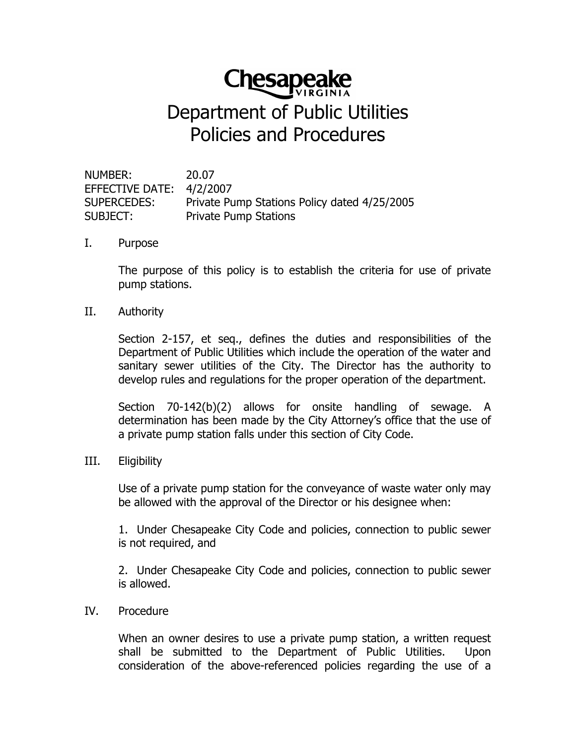# **Chesapeake**

## **Department of Public Utilities** Policies and Procedures

NUMBER: 20.07 EFFECTIVE DATE: 4/2/2007 **SUPERCEDES:** Private Pump Stations Policy dated 4/25/2005 **Private Pump Stations** SUBJECT:

#### L. Purpose

The purpose of this policy is to establish the criteria for use of private pump stations.

#### II. Authority

Section 2-157, et seq., defines the duties and responsibilities of the Department of Public Utilities which include the operation of the water and sanitary sewer utilities of the City. The Director has the authority to develop rules and regulations for the proper operation of the department.

Section 70-142(b)(2) allows for onsite handling of sewage. A determination has been made by the City Attorney's office that the use of a private pump station falls under this section of City Code.

#### III. Eligibility

Use of a private pump station for the conveyance of waste water only may be allowed with the approval of the Director or his designee when:

1. Under Chesapeake City Code and policies, connection to public sewer is not required, and

2. Under Chesapeake City Code and policies, connection to public sewer is allowed.

#### IV. Procedure

When an owner desires to use a private pump station, a written request shall be submitted to the Department of Public Utilities. Upon consideration of the above-referenced policies regarding the use of a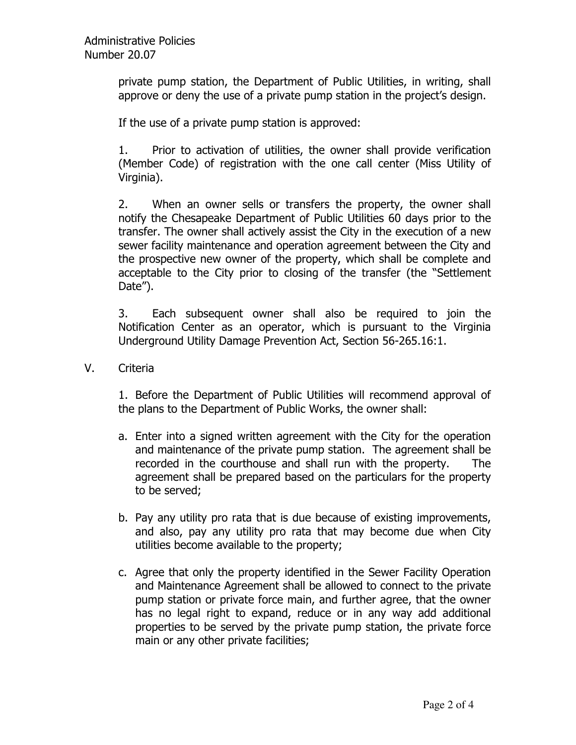private pump station, the Department of Public Utilities, in writing, shall approve or deny the use of a private pump station in the project's design.

If the use of a private pump station is approved:

 $1.$ Prior to activation of utilities, the owner shall provide verification (Member Code) of registration with the one call center (Miss Utility of Virginia).

 $2.$ When an owner sells or transfers the property, the owner shall notify the Chesapeake Department of Public Utilities 60 days prior to the transfer. The owner shall actively assist the City in the execution of a new sewer facility maintenance and operation agreement between the City and the prospective new owner of the property, which shall be complete and acceptable to the City prior to closing of the transfer (the "Settlement Date").

Each subsequent owner shall also be required to join the  $3.$ Notification Center as an operator, which is pursuant to the Virginia Underground Utility Damage Prevention Act, Section 56-265.16:1.

 $V_{\cdot}$ Criteria

> 1. Before the Department of Public Utilities will recommend approval of the plans to the Department of Public Works, the owner shall:

- a. Enter into a signed written agreement with the City for the operation and maintenance of the private pump station. The agreement shall be recorded in the courthouse and shall run with the property. **The** agreement shall be prepared based on the particulars for the property to be served;
- b. Pay any utility pro rata that is due because of existing improvements, and also, pay any utility pro rata that may become due when City utilities become available to the property;
- c. Agree that only the property identified in the Sewer Facility Operation and Maintenance Agreement shall be allowed to connect to the private pump station or private force main, and further agree, that the owner has no legal right to expand, reduce or in any way add additional properties to be served by the private pump station, the private force main or any other private facilities;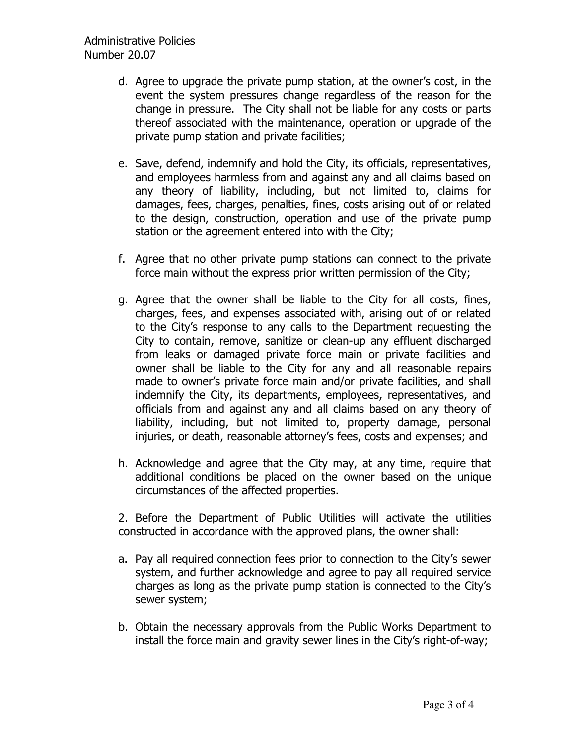- d. Agree to upgrade the private pump station, at the owner's cost, in the event the system pressures change regardless of the reason for the change in pressure. The City shall not be liable for any costs or parts thereof associated with the maintenance, operation or upgrade of the private pump station and private facilities;
- e. Save, defend, indemnify and hold the City, its officials, representatives, and employees harmless from and against any and all claims based on any theory of liability, including, but not limited to, claims for damages, fees, charges, penalties, fines, costs arising out of or related to the design, construction, operation and use of the private pump station or the agreement entered into with the City;
- f. Agree that no other private pump stations can connect to the private force main without the express prior written permission of the City;
- g. Agree that the owner shall be liable to the City for all costs, fines, charges, fees, and expenses associated with, arising out of or related to the City's response to any calls to the Department requesting the City to contain, remove, sanitize or clean-up any effluent discharged from leaks or damaged private force main or private facilities and owner shall be liable to the City for any and all reasonable repairs made to owner's private force main and/or private facilities, and shall indemnify the City, its departments, employees, representatives, and officials from and against any and all claims based on any theory of liability, including, but not limited to, property damage, personal injuries, or death, reasonable attorney's fees, costs and expenses; and
- h. Acknowledge and agree that the City may, at any time, require that additional conditions be placed on the owner based on the unique circumstances of the affected properties.

2. Before the Department of Public Utilities will activate the utilities constructed in accordance with the approved plans, the owner shall:

- a. Pay all required connection fees prior to connection to the City's sewer system, and further acknowledge and agree to pay all required service charges as long as the private pump station is connected to the City's sewer system;
- b. Obtain the necessary approvals from the Public Works Department to install the force main and gravity sewer lines in the City's right-of-way;